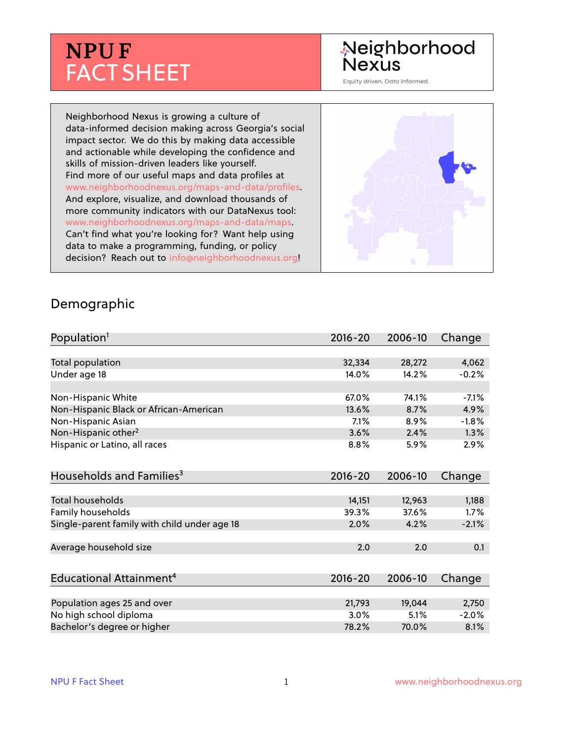# **NPU F** FACT SHEET

## Neighborhood **Nexus**

Equity driven. Data informed.

Neighborhood Nexus is growing a culture of data-informed decision making across Georgia's social impact sector. We do this by making data accessible and actionable while developing the confidence and skills of mission-driven leaders like yourself. Find more of our useful maps and data profiles at www.neighborhoodnexus.org/maps-and-data/profiles. And explore, visualize, and download thousands of more community indicators with our DataNexus tool: www.neighborhoodnexus.org/maps-and-data/maps. Can't find what you're looking for? Want help using data to make a programming, funding, or policy decision? Reach out to [info@neighborhoodnexus.org!](mailto:info@neighborhoodnexus.org)



#### Demographic

| Population <sup>1</sup>                      | $2016 - 20$     | 2006-10         | Change        |
|----------------------------------------------|-----------------|-----------------|---------------|
|                                              |                 |                 |               |
| Total population                             | 32,334          | 28,272          | 4,062         |
| Under age 18                                 | 14.0%           | 14.2%           | $-0.2%$       |
| Non-Hispanic White                           | 67.0%           | 74.1%           | $-7.1%$       |
| Non-Hispanic Black or African-American       | 13.6%           | 8.7%            | 4.9%          |
| Non-Hispanic Asian                           | 7.1%            | 8.9%            | $-1.8%$       |
| Non-Hispanic other <sup>2</sup>              | 3.6%            | 2.4%            | 1.3%          |
| Hispanic or Latino, all races                | 8.8%            | 5.9%            | $2.9\%$       |
| Households and Families <sup>3</sup>         | $2016 - 20$     | 2006-10         | Change        |
| <b>Total households</b>                      |                 |                 |               |
| Family households                            | 14,151<br>39.3% | 12,963<br>37.6% | 1,188<br>1.7% |
|                                              | 2.0%            | 4.2%            | $-2.1%$       |
| Single-parent family with child under age 18 |                 |                 |               |
| Average household size                       | 2.0             | 2.0             | 0.1           |
|                                              |                 |                 |               |
| Educational Attainment <sup>4</sup>          | $2016 - 20$     | 2006-10         | Change        |
|                                              |                 |                 |               |
| Population ages 25 and over                  | 21,793          | 19,044          | 2,750         |
| No high school diploma                       | 3.0%            | 5.1%            | $-2.0%$       |
| Bachelor's degree or higher                  | 78.2%           | 70.0%           | 8.1%          |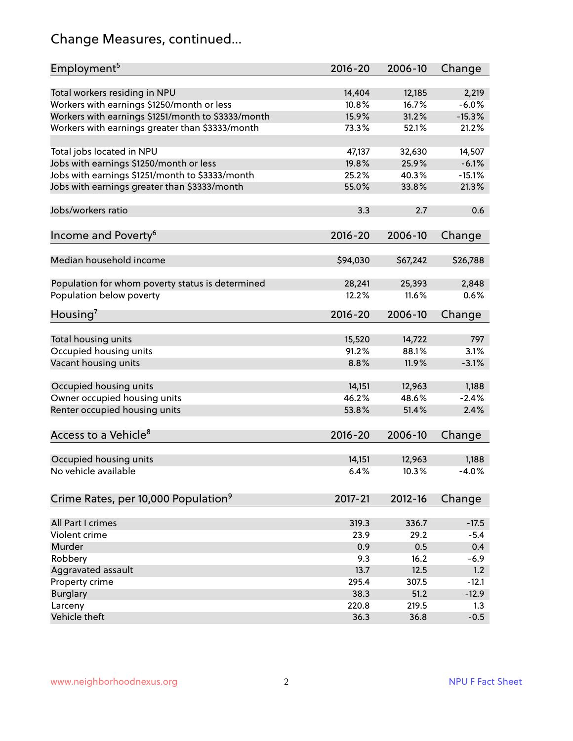## Change Measures, continued...

| Employment <sup>5</sup>                            | $2016 - 20$ | 2006-10  | Change   |
|----------------------------------------------------|-------------|----------|----------|
|                                                    |             |          |          |
| Total workers residing in NPU                      | 14,404      | 12,185   | 2,219    |
| Workers with earnings \$1250/month or less         | 10.8%       | 16.7%    | $-6.0%$  |
| Workers with earnings \$1251/month to \$3333/month | 15.9%       | 31.2%    | $-15.3%$ |
| Workers with earnings greater than \$3333/month    | 73.3%       | 52.1%    | 21.2%    |
| Total jobs located in NPU                          | 47,137      | 32,630   | 14,507   |
| Jobs with earnings \$1250/month or less            | 19.8%       | 25.9%    | $-6.1%$  |
| Jobs with earnings \$1251/month to \$3333/month    | 25.2%       | 40.3%    | $-15.1%$ |
| Jobs with earnings greater than \$3333/month       | 55.0%       | 33.8%    | 21.3%    |
|                                                    |             |          |          |
| Jobs/workers ratio                                 | 3.3         | 2.7      | 0.6      |
| Income and Poverty <sup>6</sup>                    | $2016 - 20$ | 2006-10  | Change   |
|                                                    |             |          |          |
| Median household income                            | \$94,030    | \$67,242 | \$26,788 |
|                                                    |             |          |          |
| Population for whom poverty status is determined   | 28,241      | 25,393   | 2,848    |
| Population below poverty                           | 12.2%       | 11.6%    | 0.6%     |
| Housing <sup>7</sup>                               | $2016 - 20$ | 2006-10  | Change   |
|                                                    |             |          |          |
| Total housing units                                | 15,520      | 14,722   | 797      |
| Occupied housing units                             | 91.2%       | 88.1%    | 3.1%     |
| Vacant housing units                               | 8.8%        | 11.9%    | $-3.1%$  |
| Occupied housing units                             | 14,151      | 12,963   | 1,188    |
| Owner occupied housing units                       | 46.2%       | 48.6%    | $-2.4%$  |
| Renter occupied housing units                      | 53.8%       | 51.4%    | 2.4%     |
|                                                    |             |          |          |
| Access to a Vehicle <sup>8</sup>                   | $2016 - 20$ | 2006-10  | Change   |
|                                                    |             |          |          |
| Occupied housing units                             | 14,151      | 12,963   | 1,188    |
| No vehicle available                               | 6.4%        | 10.3%    | $-4.0%$  |
|                                                    |             |          |          |
| Crime Rates, per 10,000 Population <sup>9</sup>    | 2017-21     | 2012-16  | Change   |
|                                                    |             |          |          |
| All Part I crimes                                  | 319.3       | 336.7    | $-17.5$  |
| Violent crime                                      | 23.9        | 29.2     | $-5.4$   |
| Murder                                             | 0.9         | 0.5      | 0.4      |
| Robbery                                            | 9.3         | 16.2     | $-6.9$   |
| Aggravated assault                                 | 13.7        | 12.5     | 1.2      |
| Property crime                                     | 295.4       | 307.5    | $-12.1$  |
| <b>Burglary</b>                                    | 38.3        | 51.2     | $-12.9$  |
| Larceny                                            | 220.8       | 219.5    | 1.3      |
| Vehicle theft                                      | 36.3        | 36.8     | $-0.5$   |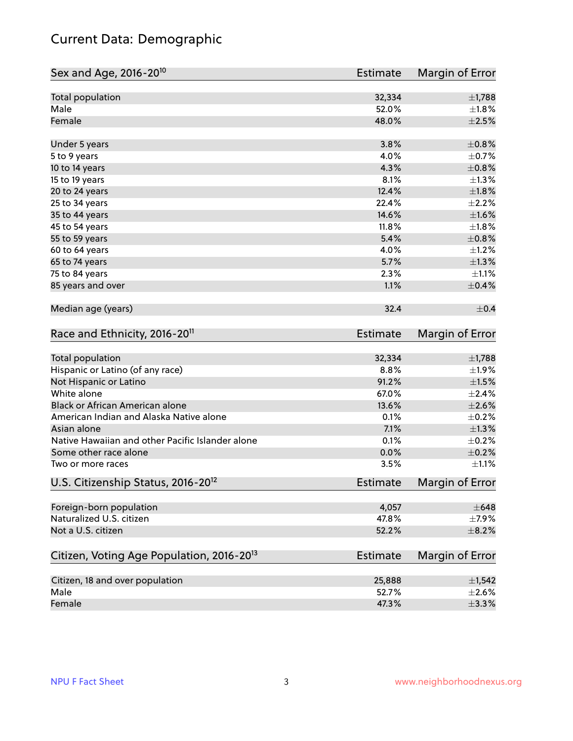## Current Data: Demographic

| Sex and Age, 2016-20 <sup>10</sup>                    | Estimate        | Margin of Error |
|-------------------------------------------------------|-----------------|-----------------|
| Total population                                      | 32,334          | $\pm$ 1,788     |
| Male                                                  | 52.0%           | $\pm1.8\%$      |
| Female                                                | 48.0%           | $\pm 2.5\%$     |
| Under 5 years                                         | 3.8%            | $\pm$ 0.8%      |
| 5 to 9 years                                          | 4.0%            | $\pm$ 0.7%      |
| 10 to 14 years                                        | 4.3%            | $\pm$ 0.8%      |
| 15 to 19 years                                        | 8.1%            | $\pm 1.3\%$     |
| 20 to 24 years                                        | 12.4%           | $\pm1.8\%$      |
| 25 to 34 years                                        | 22.4%           | $\pm 2.2\%$     |
| 35 to 44 years                                        | 14.6%           | $\pm 1.6\%$     |
| 45 to 54 years                                        | 11.8%           | $\pm1.8\%$      |
| 55 to 59 years                                        | 5.4%            | $\pm$ 0.8%      |
| 60 to 64 years                                        | 4.0%            | $\pm 1.2\%$     |
| 65 to 74 years                                        | 5.7%            | $\pm 1.3\%$     |
| 75 to 84 years                                        | 2.3%            | $\pm 1.1\%$     |
| 85 years and over                                     | 1.1%            | $\pm$ 0.4%      |
| Median age (years)                                    | 32.4            | $\pm$ 0.4       |
| Race and Ethnicity, 2016-20 <sup>11</sup>             | <b>Estimate</b> | Margin of Error |
| Total population                                      | 32,334          | $\pm$ 1,788     |
| Hispanic or Latino (of any race)                      | 8.8%            | $\pm 1.9\%$     |
| Not Hispanic or Latino                                | 91.2%           | $\pm 1.5\%$     |
| White alone                                           | 67.0%           | ±2.4%           |
| Black or African American alone                       | 13.6%           | $\pm 2.6\%$     |
| American Indian and Alaska Native alone               | 0.1%            | $\pm$ 0.2%      |
| Asian alone                                           | 7.1%            | $\pm 1.3\%$     |
| Native Hawaiian and other Pacific Islander alone      | 0.1%            | $\pm$ 0.2%      |
| Some other race alone                                 | 0.0%            | $\pm$ 0.2%      |
| Two or more races                                     | 3.5%            | $\pm 1.1\%$     |
| U.S. Citizenship Status, 2016-20 <sup>12</sup>        | <b>Estimate</b> | Margin of Error |
| Foreign-born population                               | 4,057           | $\pm 648$       |
| Naturalized U.S. citizen                              | 47.8%           | $\pm$ 7.9%      |
| Not a U.S. citizen                                    | 52.2%           | $\pm$ 8.2%      |
| Citizen, Voting Age Population, 2016-20 <sup>13</sup> | Estimate        | Margin of Error |
| Citizen, 18 and over population                       | 25,888          | $\pm$ 1,542     |
| Male                                                  | 52.7%           | $\pm 2.6\%$     |
| Female                                                | 47.3%           | $\pm$ 3.3%      |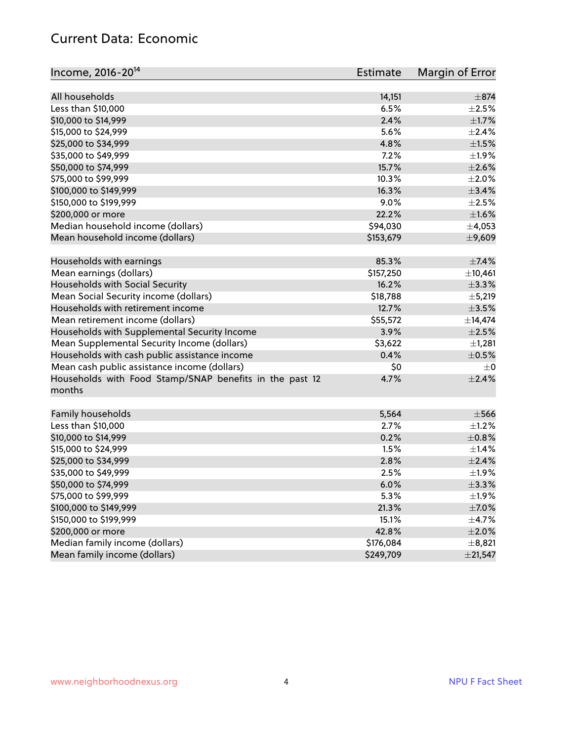#### Current Data: Economic

| Income, 2016-20 <sup>14</sup>                                     | <b>Estimate</b> | Margin of Error |
|-------------------------------------------------------------------|-----------------|-----------------|
| All households                                                    | 14,151          | $\pm$ 874       |
| Less than \$10,000                                                | 6.5%            | $\pm 2.5\%$     |
| \$10,000 to \$14,999                                              | 2.4%            | $\pm1.7\%$      |
| \$15,000 to \$24,999                                              | 5.6%            | $\pm 2.4\%$     |
| \$25,000 to \$34,999                                              | 4.8%            | $\pm 1.5\%$     |
| \$35,000 to \$49,999                                              | 7.2%            | ±1.9%           |
| \$50,000 to \$74,999                                              | 15.7%           | $\pm 2.6\%$     |
| \$75,000 to \$99,999                                              | 10.3%           | $\pm 2.0\%$     |
| \$100,000 to \$149,999                                            | 16.3%           | $\pm$ 3.4%      |
| \$150,000 to \$199,999                                            | 9.0%            | $\pm 2.5\%$     |
| \$200,000 or more                                                 | 22.2%           | ±1.6%           |
| Median household income (dollars)                                 | \$94,030        | ±4,053          |
| Mean household income (dollars)                                   | \$153,679       | ±9,609          |
| Households with earnings                                          | 85.3%           | $\pm$ 7.4%      |
| Mean earnings (dollars)                                           | \$157,250       | ±10,461         |
| Households with Social Security                                   | 16.2%           | $\pm$ 3.3%      |
| Mean Social Security income (dollars)                             | \$18,788        | $\pm$ 5,219     |
| Households with retirement income                                 | 12.7%           | $\pm$ 3.5%      |
| Mean retirement income (dollars)                                  | \$55,572        | ±14,474         |
| Households with Supplemental Security Income                      | 3.9%            | $\pm 2.5\%$     |
| Mean Supplemental Security Income (dollars)                       | \$3,622         | ±1,281          |
| Households with cash public assistance income                     | 0.4%            | $\pm$ 0.5%      |
| Mean cash public assistance income (dollars)                      | \$0             | $\pm 0$         |
| Households with Food Stamp/SNAP benefits in the past 12<br>months | 4.7%            | $\pm 2.4\%$     |
| Family households                                                 | 5,564           | $\pm$ 566       |
| Less than \$10,000                                                | 2.7%            | $\pm 1.2\%$     |
| \$10,000 to \$14,999                                              | 0.2%            | $\pm$ 0.8%      |
| \$15,000 to \$24,999                                              | 1.5%            | $\pm$ 1.4%      |
| \$25,000 to \$34,999                                              | 2.8%            | $\pm 2.4\%$     |
| \$35,000 to \$49,999                                              | 2.5%            | ±1.9%           |
| \$50,000 to \$74,999                                              | 6.0%            | ±3.3%           |
| \$75,000 to \$99,999                                              | 5.3%            | ±1.9%           |
| \$100,000 to \$149,999                                            | 21.3%           | $\pm$ 7.0%      |
| \$150,000 to \$199,999                                            | 15.1%           | $\pm$ 4.7%      |
| \$200,000 or more                                                 | 42.8%           | $\pm 2.0\%$     |
| Median family income (dollars)                                    | \$176,084       | ±8,821          |
| Mean family income (dollars)                                      | \$249,709       | ±21,547         |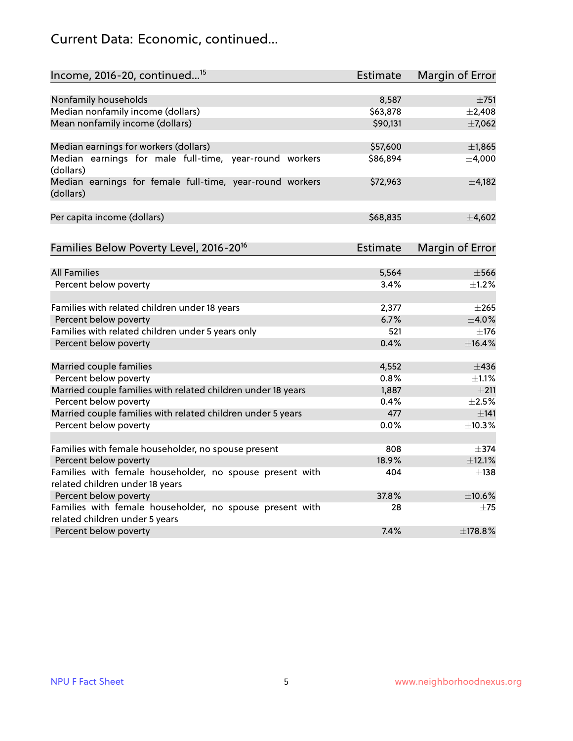## Current Data: Economic, continued...

| Income, 2016-20, continued <sup>15</sup>                                                   | <b>Estimate</b> | Margin of Error        |
|--------------------------------------------------------------------------------------------|-----------------|------------------------|
|                                                                                            |                 |                        |
| Nonfamily households                                                                       | 8,587           | $\pm 751$              |
| Median nonfamily income (dollars)                                                          | \$63,878        | ±2,408                 |
| Mean nonfamily income (dollars)                                                            | \$90,131        | ±7,062                 |
| Median earnings for workers (dollars)                                                      | \$57,600        | ±1,865                 |
| Median earnings for male full-time, year-round workers<br>(dollars)                        | \$86,894        | ±4,000                 |
| Median earnings for female full-time, year-round workers<br>(dollars)                      | \$72,963        | $\pm$ 4,182            |
| Per capita income (dollars)                                                                | \$68,835        | ±4,602                 |
| Families Below Poverty Level, 2016-20 <sup>16</sup>                                        | <b>Estimate</b> | <b>Margin of Error</b> |
|                                                                                            |                 |                        |
| <b>All Families</b>                                                                        | 5,564           | $\pm$ 566              |
| Percent below poverty                                                                      | 3.4%            | ±1.2%                  |
| Families with related children under 18 years                                              | 2,377           | $\pm 265$              |
| Percent below poverty                                                                      | 6.7%            | $\pm$ 4.0%             |
| Families with related children under 5 years only                                          | 521             | $\pm$ 176              |
| Percent below poverty                                                                      | 0.4%            | ±16.4%                 |
| Married couple families                                                                    | 4,552           | $\pm$ 436              |
| Percent below poverty                                                                      | 0.8%            | $\pm 1.1\%$            |
| Married couple families with related children under 18 years                               | 1,887           | $\pm 211$              |
| Percent below poverty                                                                      | 0.4%            | $\pm 2.5\%$            |
| Married couple families with related children under 5 years                                | 477             | $\pm$ 141              |
| Percent below poverty                                                                      | $0.0\%$         | ±10.3%                 |
|                                                                                            |                 |                        |
| Families with female householder, no spouse present                                        | 808             | $\pm$ 374              |
| Percent below poverty                                                                      | 18.9%           | ±12.1%                 |
| Families with female householder, no spouse present with                                   | 404             | $\pm$ 138              |
| related children under 18 years                                                            |                 |                        |
| Percent below poverty                                                                      | 37.8%           | ±10.6%                 |
| Families with female householder, no spouse present with<br>related children under 5 years | 28              | $\pm$ 75               |
| Percent below poverty                                                                      | 7.4%            | ±178.8%                |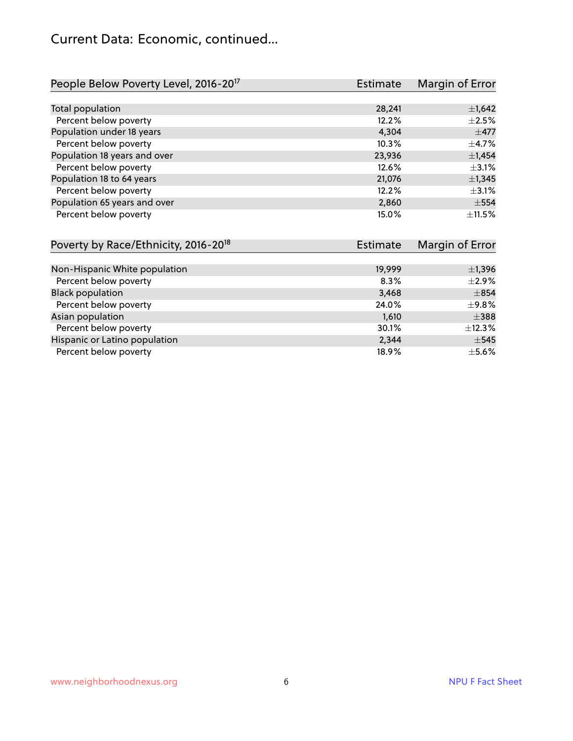## Current Data: Economic, continued...

| People Below Poverty Level, 2016-20 <sup>17</sup> | Estimate | Margin of Error |
|---------------------------------------------------|----------|-----------------|
|                                                   |          |                 |
| Total population                                  | 28,241   | $\pm$ 1,642     |
| Percent below poverty                             | 12.2%    | $\pm 2.5\%$     |
| Population under 18 years                         | 4.304    | $\pm$ 477       |
| Percent below poverty                             | 10.3%    | $\pm$ 4.7%      |
| Population 18 years and over                      | 23,936   | ±1,454          |
| Percent below poverty                             | 12.6%    | $\pm$ 3.1%      |
| Population 18 to 64 years                         | 21,076   | ±1,345          |
| Percent below poverty                             | 12.2%    | $\pm$ 3.1%      |
| Population 65 years and over                      | 2,860    | $\pm$ 554       |
| Percent below poverty                             | 15.0%    | $\pm$ 11.5%     |

| Poverty by Race/Ethnicity, 2016-20 <sup>18</sup> | Estimate | Margin of Error |
|--------------------------------------------------|----------|-----------------|
|                                                  |          |                 |
| Non-Hispanic White population                    | 19,999   | $\pm$ 1,396     |
| Percent below poverty                            | 8.3%     | $\pm 2.9\%$     |
| <b>Black population</b>                          | 3,468    | $\pm$ 854       |
| Percent below poverty                            | 24.0%    | ±9.8%           |
| Asian population                                 | 1,610    | $\pm$ 388       |
| Percent below poverty                            | 30.1%    | $\pm$ 12.3%     |
| Hispanic or Latino population                    | 2,344    | $\pm$ 545       |
| Percent below poverty                            | 18.9%    | $\pm$ 5.6%      |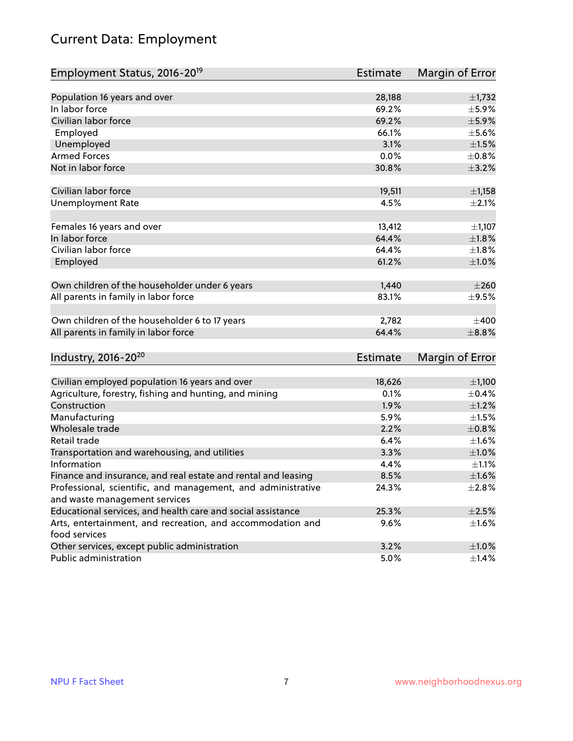## Current Data: Employment

| Employment Status, 2016-20 <sup>19</sup>                      | Estimate        | Margin of Error |
|---------------------------------------------------------------|-----------------|-----------------|
|                                                               |                 |                 |
| Population 16 years and over                                  | 28,188          | $\pm$ 1,732     |
| In labor force                                                | 69.2%           | $\pm$ 5.9%      |
| Civilian labor force                                          | 69.2%           | $\pm$ 5.9%      |
| Employed                                                      | 66.1%           | $\pm$ 5.6%      |
| Unemployed                                                    | 3.1%            | $\pm1.5\%$      |
| <b>Armed Forces</b>                                           | 0.0%            | $\pm 0.8\%$     |
| Not in labor force                                            | 30.8%           | $\pm$ 3.2%      |
| Civilian labor force                                          | 19,511          | $\pm$ 1,158     |
| <b>Unemployment Rate</b>                                      | 4.5%            | $\pm 2.1\%$     |
|                                                               |                 |                 |
| Females 16 years and over                                     | 13,412          | $\pm$ 1,107     |
| In labor force                                                | 64.4%           | $\pm1.8\%$      |
| Civilian labor force                                          | 64.4%           | $\pm1.8\%$      |
| Employed                                                      | 61.2%           | $\pm 1.0\%$     |
|                                                               | 1,440           | $\pm 260$       |
| Own children of the householder under 6 years                 |                 |                 |
| All parents in family in labor force                          | 83.1%           | $\pm$ 9.5%      |
| Own children of the householder 6 to 17 years                 | 2,782           | $\pm 400$       |
| All parents in family in labor force                          | 64.4%           | $\pm$ 8.8%      |
|                                                               |                 |                 |
| Industry, 2016-20 <sup>20</sup>                               | <b>Estimate</b> | Margin of Error |
| Civilian employed population 16 years and over                | 18,626          | ±1,100          |
| Agriculture, forestry, fishing and hunting, and mining        | 0.1%            | $\pm$ 0.4%      |
| Construction                                                  | 1.9%            | $\pm 1.2\%$     |
| Manufacturing                                                 | 5.9%            | $\pm 1.5\%$     |
| Wholesale trade                                               | 2.2%            | $\pm$ 0.8%      |
| Retail trade                                                  | 6.4%            | $\pm 1.6\%$     |
| Transportation and warehousing, and utilities                 | 3.3%            | $\pm1.0\%$      |
| Information                                                   | 4.4%            | $\pm 1.1\%$     |
| Finance and insurance, and real estate and rental and leasing | 8.5%            | ±1.6%           |
| Professional, scientific, and management, and administrative  | 24.3%           | $\pm 2.8\%$     |
| and waste management services                                 |                 |                 |
| Educational services, and health care and social assistance   | 25.3%           | $\pm 2.5\%$     |
| Arts, entertainment, and recreation, and accommodation and    | 9.6%            | $\pm 1.6\%$     |
| food services                                                 |                 |                 |
| Other services, except public administration                  | 3.2%            | $\pm 1.0\%$     |
| Public administration                                         | 5.0%            | $\pm$ 1.4%      |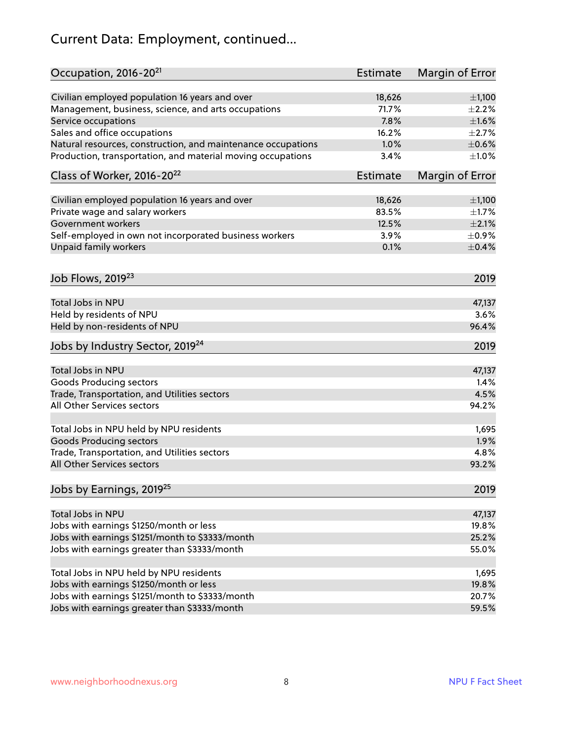## Current Data: Employment, continued...

| Occupation, 2016-20 <sup>21</sup>                            | <b>Estimate</b> | Margin of Error |
|--------------------------------------------------------------|-----------------|-----------------|
| Civilian employed population 16 years and over               | 18,626          | ±1,100          |
| Management, business, science, and arts occupations          | 71.7%           | $\pm 2.2\%$     |
| Service occupations                                          | 7.8%            | $\pm1.6\%$      |
| Sales and office occupations                                 | 16.2%           | $\pm 2.7\%$     |
| Natural resources, construction, and maintenance occupations | 1.0%            | $\pm$ 0.6%      |
| Production, transportation, and material moving occupations  | 3.4%            | $\pm1.0\%$      |
| Class of Worker, 2016-20 <sup>22</sup>                       | Estimate        | Margin of Error |
| Civilian employed population 16 years and over               | 18,626          | ±1,100          |
| Private wage and salary workers                              | 83.5%           | $\pm1.7\%$      |
| <b>Government workers</b>                                    | 12.5%           | $\pm 2.1\%$     |
| Self-employed in own not incorporated business workers       | 3.9%            | $\pm$ 0.9%      |
| Unpaid family workers                                        | 0.1%            | $\pm$ 0.4%      |
| Job Flows, 2019 <sup>23</sup>                                |                 | 2019            |
| Total Jobs in NPU                                            |                 | 47,137          |
| Held by residents of NPU                                     |                 | 3.6%            |
| Held by non-residents of NPU                                 |                 | 96.4%           |
| Jobs by Industry Sector, 2019 <sup>24</sup>                  |                 | 2019            |
| Total Jobs in NPU                                            |                 | 47,137          |
| <b>Goods Producing sectors</b>                               |                 | 1.4%            |
| Trade, Transportation, and Utilities sectors                 |                 | 4.5%            |
| All Other Services sectors                                   |                 | 94.2%           |
| Total Jobs in NPU held by NPU residents                      |                 | 1,695           |
| <b>Goods Producing sectors</b>                               |                 | 1.9%            |
| Trade, Transportation, and Utilities sectors                 |                 | 4.8%            |
| All Other Services sectors                                   |                 | 93.2%           |
| Jobs by Earnings, 2019 <sup>25</sup>                         |                 | 2019            |
| Total Jobs in NPU                                            |                 | 47,137          |
| Jobs with earnings \$1250/month or less                      |                 | 19.8%           |
| Jobs with earnings \$1251/month to \$3333/month              |                 | 25.2%           |
| Jobs with earnings greater than \$3333/month                 |                 | 55.0%           |
|                                                              |                 |                 |
| Total Jobs in NPU held by NPU residents                      |                 | 1,695           |
| Jobs with earnings \$1250/month or less                      |                 | 19.8%           |
| Jobs with earnings \$1251/month to \$3333/month              |                 | 20.7%           |
| Jobs with earnings greater than \$3333/month                 |                 | 59.5%           |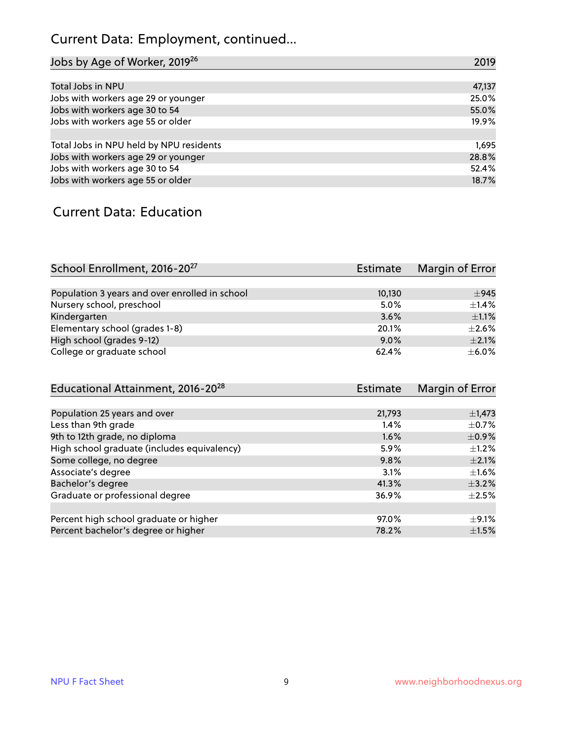## Current Data: Employment, continued...

| Jobs by Age of Worker, 2019 <sup>26</sup> | 2019   |
|-------------------------------------------|--------|
|                                           |        |
| Total Jobs in NPU                         | 47,137 |
| Jobs with workers age 29 or younger       | 25.0%  |
| Jobs with workers age 30 to 54            | 55.0%  |
| Jobs with workers age 55 or older         | 19.9%  |
|                                           |        |
| Total Jobs in NPU held by NPU residents   | 1,695  |
| Jobs with workers age 29 or younger       | 28.8%  |
| Jobs with workers age 30 to 54            | 52.4%  |
| Jobs with workers age 55 or older         | 18.7%  |

#### Current Data: Education

| School Enrollment, 2016-20 <sup>27</sup>       | Estimate | Margin of Error |
|------------------------------------------------|----------|-----------------|
|                                                |          |                 |
| Population 3 years and over enrolled in school | 10,130   | ±945            |
| Nursery school, preschool                      | 5.0%     | $\pm$ 1.4%      |
| Kindergarten                                   | 3.6%     | $\pm 1.1\%$     |
| Elementary school (grades 1-8)                 | 20.1%    | $\pm 2.6\%$     |
| High school (grades 9-12)                      | $9.0\%$  | $\pm 2.1\%$     |
| College or graduate school                     | 62.4%    | $\pm$ 6.0%      |

| Educational Attainment, 2016-20 <sup>28</sup> | <b>Estimate</b> | Margin of Error |
|-----------------------------------------------|-----------------|-----------------|
|                                               |                 |                 |
| Population 25 years and over                  | 21,793          | $\pm$ 1,473     |
| Less than 9th grade                           | 1.4%            | $\pm$ 0.7%      |
| 9th to 12th grade, no diploma                 | 1.6%            | $\pm$ 0.9%      |
| High school graduate (includes equivalency)   | 5.9%            | $\pm 1.2\%$     |
| Some college, no degree                       | 9.8%            | $\pm 2.1\%$     |
| Associate's degree                            | 3.1%            | $\pm 1.6\%$     |
| Bachelor's degree                             | 41.3%           | $\pm$ 3.2%      |
| Graduate or professional degree               | 36.9%           | $+2.5%$         |
|                                               |                 |                 |
| Percent high school graduate or higher        | 97.0%           | $\pm$ 9.1%      |
| Percent bachelor's degree or higher           | 78.2%           | $\pm 1.5\%$     |
|                                               |                 |                 |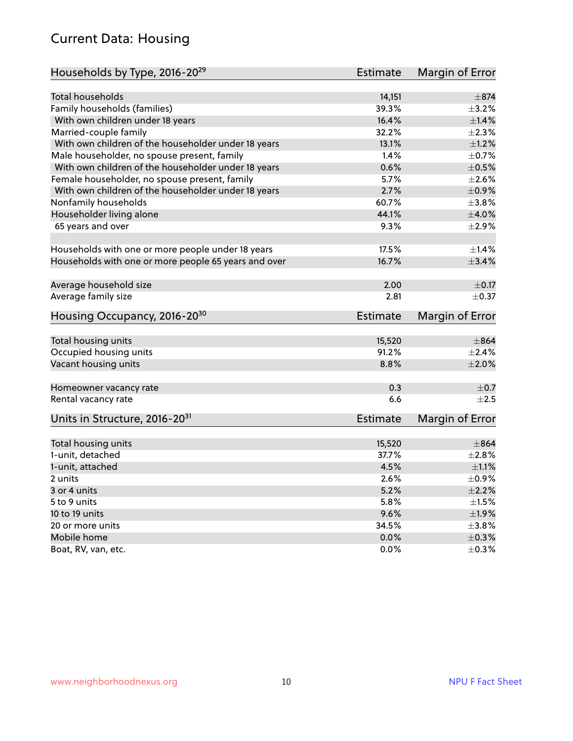#### Current Data: Housing

| Households by Type, 2016-20 <sup>29</sup>            | <b>Estimate</b> | Margin of Error |
|------------------------------------------------------|-----------------|-----------------|
|                                                      |                 |                 |
| Total households                                     | 14,151          | $\pm$ 874       |
| Family households (families)                         | 39.3%           | $\pm$ 3.2%      |
| With own children under 18 years                     | 16.4%           | ±1.4%           |
| Married-couple family                                | 32.2%           | $\pm 2.3\%$     |
| With own children of the householder under 18 years  | 13.1%           | $\pm 1.2\%$     |
| Male householder, no spouse present, family          | 1.4%            | $\pm$ 0.7%      |
| With own children of the householder under 18 years  | 0.6%            | $\pm$ 0.5%      |
| Female householder, no spouse present, family        | 5.7%            | $\pm 2.6\%$     |
| With own children of the householder under 18 years  | 2.7%            | $\pm$ 0.9%      |
| Nonfamily households                                 | 60.7%           | $\pm 3.8\%$     |
| Householder living alone                             | 44.1%           | $\pm 4.0\%$     |
| 65 years and over                                    | 9.3%            | $\pm 2.9\%$     |
| Households with one or more people under 18 years    | 17.5%           | $\pm 1.4\%$     |
| Households with one or more people 65 years and over | 16.7%           | ±3.4%           |
|                                                      |                 |                 |
| Average household size                               | 2.00            | $\pm$ 0.17      |
| Average family size                                  | 2.81            | $\pm$ 0.37      |
| Housing Occupancy, 2016-20 <sup>30</sup>             | <b>Estimate</b> | Margin of Error |
| Total housing units                                  | 15,520          | $\pm 864$       |
| Occupied housing units                               | 91.2%           | $\pm 2.4\%$     |
| Vacant housing units                                 | 8.8%            | $\pm 2.0\%$     |
|                                                      |                 |                 |
| Homeowner vacancy rate                               | 0.3             | $\pm$ 0.7       |
| Rental vacancy rate                                  | 6.6             | $+2.5$          |
| Units in Structure, 2016-20 <sup>31</sup>            | Estimate        | Margin of Error |
| Total housing units                                  | 15,520          | $\pm 864$       |
| 1-unit, detached                                     | 37.7%           | $\pm 2.8\%$     |
| 1-unit, attached                                     | 4.5%            | $\pm 1.1\%$     |
| 2 units                                              | 2.6%            | $\pm$ 0.9%      |
| 3 or 4 units                                         | 5.2%            | $\pm 2.2\%$     |
|                                                      | 5.8%            | $\pm 1.5\%$     |
| 5 to 9 units                                         | 9.6%            | ±1.9%           |
| 10 to 19 units                                       |                 |                 |
| 20 or more units                                     | 34.5%           | $\pm$ 3.8%      |
| Mobile home                                          | 0.0%            | $\pm$ 0.3%      |
| Boat, RV, van, etc.                                  | $0.0\%$         | $\pm$ 0.3%      |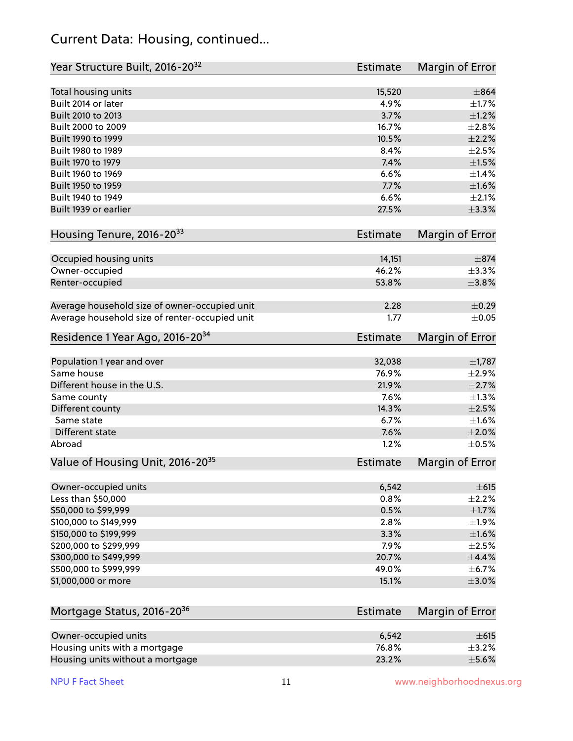#### Current Data: Housing, continued...

| Year Structure Built, 2016-20 <sup>32</sup>    | Estimate        | <b>Margin of Error</b> |
|------------------------------------------------|-----------------|------------------------|
| Total housing units                            | 15,520          | $\pm$ 864              |
| Built 2014 or later                            | 4.9%            | $\pm1.7\%$             |
| Built 2010 to 2013                             | 3.7%            | $\pm 1.2\%$            |
| Built 2000 to 2009                             | 16.7%           | $\pm 2.8\%$            |
| Built 1990 to 1999                             | 10.5%           | $\pm 2.2\%$            |
| Built 1980 to 1989                             | 8.4%            | $\pm 2.5\%$            |
| Built 1970 to 1979                             | 7.4%            | $\pm1.5\%$             |
| Built 1960 to 1969                             | 6.6%            | $\pm$ 1.4%             |
| Built 1950 to 1959                             | 7.7%            | $\pm1.6\%$             |
| Built 1940 to 1949                             | 6.6%            | ±2.1%                  |
| Built 1939 or earlier                          | 27.5%           | ±3.3%                  |
| Housing Tenure, 2016-2033                      | Estimate        | Margin of Error        |
| Occupied housing units                         | 14,151          | $\pm$ 874              |
| Owner-occupied                                 | 46.2%           | ±3.3%                  |
| Renter-occupied                                | 53.8%           | $\pm$ 3.8%             |
| Average household size of owner-occupied unit  | 2.28            | $\pm$ 0.29             |
| Average household size of renter-occupied unit | 1.77            | $\pm$ 0.05             |
| Residence 1 Year Ago, 2016-20 <sup>34</sup>    | <b>Estimate</b> | <b>Margin of Error</b> |
| Population 1 year and over                     | 32,038          | $\pm$ 1,787            |
| Same house                                     | 76.9%           | $\pm 2.9\%$            |
| Different house in the U.S.                    | 21.9%           | $\pm 2.7\%$            |
| Same county                                    | 7.6%            | $\pm 1.3\%$            |
| Different county                               | 14.3%           | $\pm 2.5\%$            |
| Same state                                     | 6.7%            | $\pm1.6\%$             |
| Different state                                | 7.6%            | ±2.0%                  |
| Abroad                                         | 1.2%            | $\pm$ 0.5%             |
| Value of Housing Unit, 2016-20 <sup>35</sup>   | <b>Estimate</b> | Margin of Error        |
| Owner-occupied units                           | 6,542           | $\pm 615$              |
| Less than \$50,000                             | 0.8%            | $\pm 2.2\%$            |
| \$50,000 to \$99,999                           | 0.5%            | $\pm1.7\%$             |
| \$100,000 to \$149,999                         | 2.8%            | ±1.9%                  |
| \$150,000 to \$199,999                         | 3.3%            | $\pm1.6\%$             |
| \$200,000 to \$299,999                         | 7.9%            | $\pm 2.5\%$            |
| \$300,000 to \$499,999                         | 20.7%           | $\pm$ 4.4%             |
| \$500,000 to \$999,999                         | 49.0%           | $\pm$ 6.7%             |
| \$1,000,000 or more                            | 15.1%           | $\pm$ 3.0%             |
| Mortgage Status, 2016-20 <sup>36</sup>         | <b>Estimate</b> | Margin of Error        |
| Owner-occupied units                           | 6,542           | $\pm 615$              |
|                                                | 76.8%           | $\pm$ 3.2%             |
| Housing units with a mortgage                  |                 |                        |

Housing units without a mortgage  $\pm 5.6\%$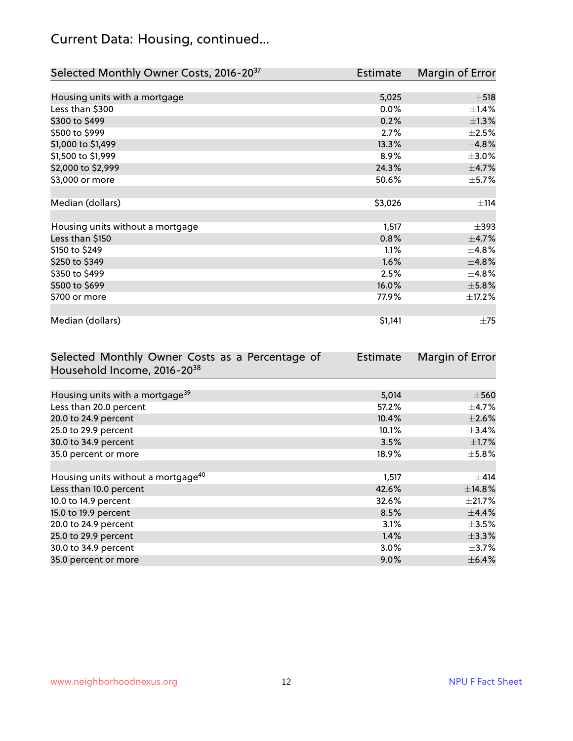## Current Data: Housing, continued...

| Selected Monthly Owner Costs, 2016-20 <sup>37</sup> | <b>Estimate</b> | Margin of Error |
|-----------------------------------------------------|-----------------|-----------------|
|                                                     |                 |                 |
| Housing units with a mortgage                       | 5,025           | $\pm$ 518       |
| Less than \$300                                     | 0.0%            | $\pm$ 1.4%      |
| \$300 to \$499                                      | 0.2%            | $\pm$ 1.3%      |
| \$500 to \$999                                      | 2.7%            | $\pm 2.5\%$     |
| \$1,000 to \$1,499                                  | 13.3%           | ±4.8%           |
| \$1,500 to \$1,999                                  | 8.9%            | $\pm 3.0\%$     |
| \$2,000 to \$2,999                                  | 24.3%           | $\pm$ 4.7%      |
| \$3,000 or more                                     | 50.6%           | $\pm$ 5.7%      |
|                                                     |                 |                 |
| Median (dollars)                                    | \$3,026         | ±114            |
|                                                     |                 |                 |
| Housing units without a mortgage                    | 1,517           | $\pm$ 393       |
| Less than \$150                                     | 0.8%            | $\pm$ 4.7%      |
| \$150 to \$249                                      | 1.1%            | ±4.8%           |
| \$250 to \$349                                      | 1.6%            | ±4.8%           |
| \$350 to \$499                                      | 2.5%            | $\pm$ 4.8%      |
| \$500 to \$699                                      | 16.0%           | ±5.8%           |
| \$700 or more                                       | 77.9%           | $\pm$ 17.2%     |
|                                                     |                 |                 |
| Median (dollars)                                    | \$1,141         | $\pm 75$        |

| Selected Monthly Owner Costs as a Percentage of | <b>Estimate</b> | Margin of Error |
|-------------------------------------------------|-----------------|-----------------|
| Household Income, 2016-20 <sup>38</sup>         |                 |                 |
|                                                 |                 |                 |
| Housing units with a mortgage <sup>39</sup>     | 5,014           | $\pm$ 560       |
| Less than 20.0 percent                          | 57.2%           | $\pm$ 4.7%      |
| 20.0 to 24.9 percent                            | 10.4%           | $\pm 2.6\%$     |
| 25.0 to 29.9 percent                            | 10.1%           | $\pm$ 3.4%      |
| 30.0 to 34.9 percent                            | 3.5%            | $\pm$ 1.7%      |
| 35.0 percent or more                            | 18.9%           | $\pm$ 5.8%      |
|                                                 |                 |                 |
| Housing units without a mortgage <sup>40</sup>  | 1,517           | $\pm$ 414       |
| Less than 10.0 percent                          | 42.6%           | ±14.8%          |
| 10.0 to 14.9 percent                            | 32.6%           | $\pm 21.7\%$    |
| 15.0 to 19.9 percent                            | 8.5%            | $\pm$ 4.4%      |
| 20.0 to 24.9 percent                            | 3.1%            | $\pm 3.5\%$     |
| 25.0 to 29.9 percent                            | 1.4%            | $\pm$ 3.3%      |
| 30.0 to 34.9 percent                            | $3.0\%$         | $\pm$ 3.7%      |
| 35.0 percent or more                            | $9.0\%$         | $\pm$ 6.4%      |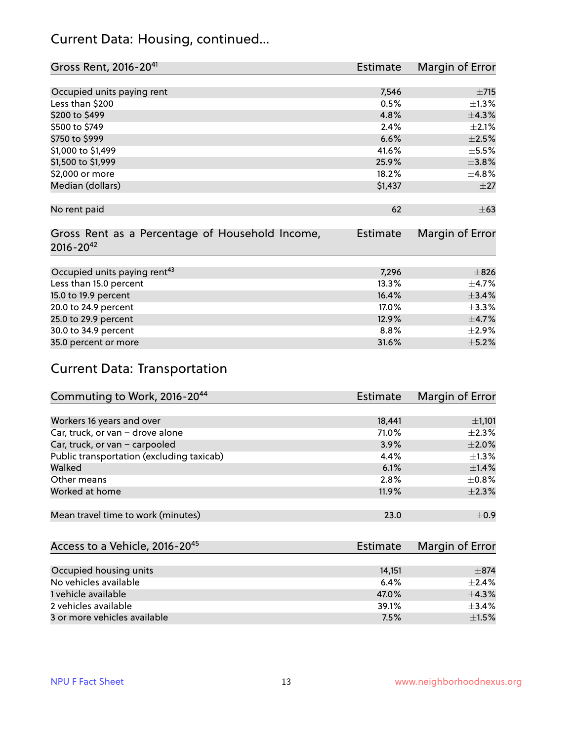#### Current Data: Housing, continued...

| Gross Rent, 2016-20 <sup>41</sup>                                   | <b>Estimate</b> | Margin of Error          |
|---------------------------------------------------------------------|-----------------|--------------------------|
|                                                                     |                 |                          |
| Occupied units paying rent                                          | 7,546           | $\pm 715$                |
| Less than \$200                                                     | 0.5%            | $\pm 1.3\%$              |
| \$200 to \$499                                                      | 4.8%            | ±4.3%                    |
| \$500 to \$749                                                      | 2.4%            | $\pm 2.1\%$              |
| \$750 to \$999                                                      | 6.6%            | $\pm 2.5\%$              |
| \$1,000 to \$1,499                                                  | 41.6%           | $\pm$ 5.5%               |
| \$1,500 to \$1,999                                                  | 25.9%           | ±3.8%                    |
| \$2,000 or more                                                     | 18.2%           | ±4.8%                    |
| Median (dollars)                                                    | \$1,437         | $\pm 27$                 |
|                                                                     |                 |                          |
| No rent paid                                                        | 62              | $\pm 63$                 |
| Gross Rent as a Percentage of Household Income,<br>$2016 - 20^{42}$ | <b>Estimate</b> | Margin of Error          |
| Occupied units paying rent <sup>43</sup>                            | 7,296           | $\pm$ 826                |
| Less than 15.0 percent                                              | 13.3%           | $\pm$ 4.7%               |
| 15.0 to 19.9 percent                                                | 16.4%           | ±3.4%                    |
|                                                                     |                 |                          |
| 20.0 to 24.9 percent                                                | 17.0%<br>12.9%  | $\pm$ 3.3%<br>$\pm$ 4.7% |
| 25.0 to 29.9 percent                                                |                 |                          |
| 30.0 to 34.9 percent                                                | 8.8%            | $\pm 2.9\%$              |
| 35.0 percent or more                                                | 31.6%           | $\pm$ 5.2%               |

## Current Data: Transportation

| Commuting to Work, 2016-20 <sup>44</sup>  | <b>Estimate</b> | Margin of Error |
|-------------------------------------------|-----------------|-----------------|
|                                           |                 |                 |
| Workers 16 years and over                 | 18,441          | $\pm$ 1,101     |
| Car, truck, or van - drove alone          | 71.0%           | $\pm 2.3\%$     |
| Car, truck, or van - carpooled            | 3.9%            | $\pm 2.0\%$     |
| Public transportation (excluding taxicab) | $4.4\%$         | $\pm 1.3\%$     |
| Walked                                    | 6.1%            | $\pm$ 1.4%      |
| Other means                               | 2.8%            | $\pm$ 0.8%      |
| Worked at home                            | 11.9%           | $\pm 2.3\%$     |
|                                           |                 |                 |
| Mean travel time to work (minutes)        | 23.0            | $\pm$ 0.9       |

| Access to a Vehicle, 2016-20 <sup>45</sup> | Estimate | Margin of Error |
|--------------------------------------------|----------|-----------------|
|                                            |          |                 |
| Occupied housing units                     | 14,151   | $\pm$ 874       |
| No vehicles available                      | 6.4%     | $+2.4%$         |
| 1 vehicle available                        | 47.0%    | $\pm$ 4.3%      |
| 2 vehicles available                       | 39.1%    | $\pm$ 3.4%      |
| 3 or more vehicles available               | 7.5%     | $\pm1.5\%$      |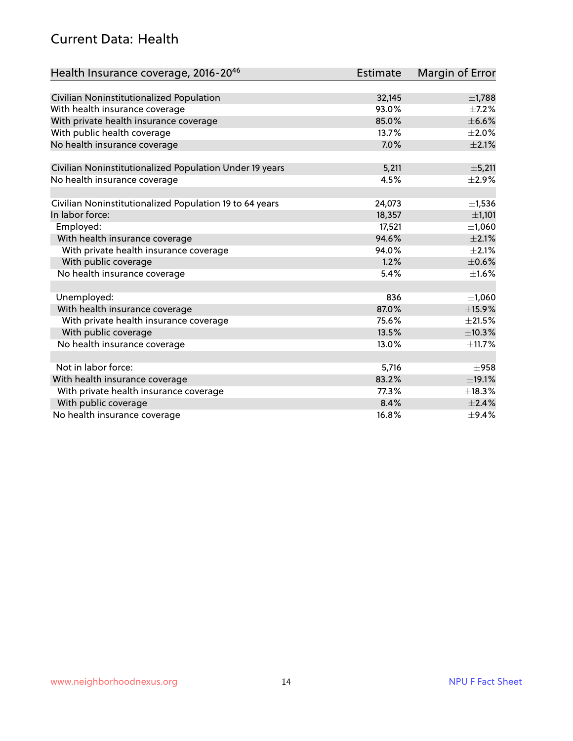#### Current Data: Health

| Health Insurance coverage, 2016-2046                    | <b>Estimate</b> | Margin of Error |
|---------------------------------------------------------|-----------------|-----------------|
|                                                         |                 |                 |
| Civilian Noninstitutionalized Population                | 32,145          | $\pm$ 1,788     |
| With health insurance coverage                          | 93.0%           | $\pm$ 7.2%      |
| With private health insurance coverage                  | 85.0%           | $\pm$ 6.6%      |
| With public health coverage                             | 13.7%           | $\pm 2.0\%$     |
| No health insurance coverage                            | 7.0%            | $\pm 2.1\%$     |
| Civilian Noninstitutionalized Population Under 19 years | 5,211           | $\pm$ 5,211     |
|                                                         | 4.5%            | $\pm 2.9\%$     |
| No health insurance coverage                            |                 |                 |
| Civilian Noninstitutionalized Population 19 to 64 years | 24,073          | $\pm$ 1,536     |
| In labor force:                                         | 18,357          | ±1,101          |
| Employed:                                               | 17,521          | ±1,060          |
| With health insurance coverage                          | 94.6%           | $\pm 2.1\%$     |
| With private health insurance coverage                  | 94.0%           | $\pm 2.1\%$     |
| With public coverage                                    | 1.2%            | $\pm$ 0.6%      |
| No health insurance coverage                            | 5.4%            | $\pm1.6\%$      |
|                                                         |                 |                 |
| Unemployed:                                             | 836             | ±1,060          |
| With health insurance coverage                          | 87.0%           | ±15.9%          |
| With private health insurance coverage                  | 75.6%           | $\pm 21.5\%$    |
| With public coverage                                    | 13.5%           | ±10.3%          |
| No health insurance coverage                            | 13.0%           | ±11.7%          |
|                                                         |                 |                 |
| Not in labor force:                                     | 5,716           | $\pm$ 958       |
| With health insurance coverage                          | 83.2%           | ±19.1%          |
| With private health insurance coverage                  | 77.3%           | ±18.3%          |
| With public coverage                                    | 8.4%            | ±2.4%           |
| No health insurance coverage                            | 16.8%           | $\pm$ 9.4%      |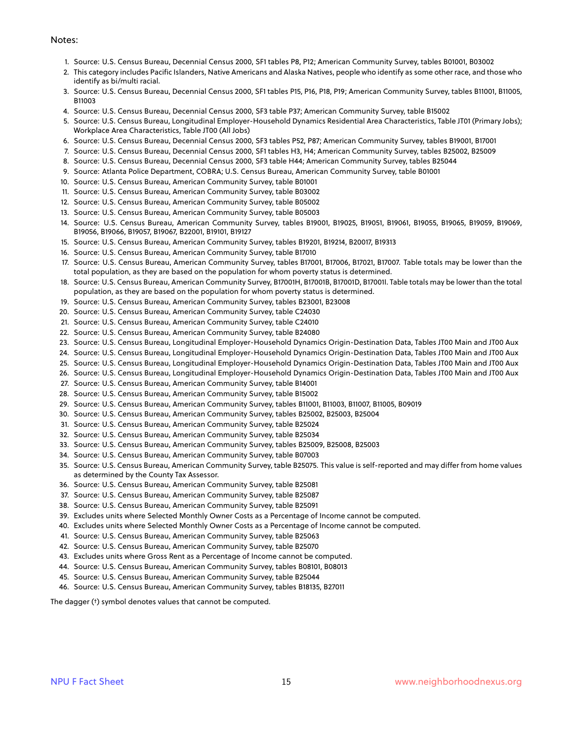#### Notes:

- 1. Source: U.S. Census Bureau, Decennial Census 2000, SF1 tables P8, P12; American Community Survey, tables B01001, B03002
- 2. This category includes Pacific Islanders, Native Americans and Alaska Natives, people who identify as some other race, and those who identify as bi/multi racial.
- 3. Source: U.S. Census Bureau, Decennial Census 2000, SF1 tables P15, P16, P18, P19; American Community Survey, tables B11001, B11005, B11003
- 4. Source: U.S. Census Bureau, Decennial Census 2000, SF3 table P37; American Community Survey, table B15002
- 5. Source: U.S. Census Bureau, Longitudinal Employer-Household Dynamics Residential Area Characteristics, Table JT01 (Primary Jobs); Workplace Area Characteristics, Table JT00 (All Jobs)
- 6. Source: U.S. Census Bureau, Decennial Census 2000, SF3 tables P52, P87; American Community Survey, tables B19001, B17001
- 7. Source: U.S. Census Bureau, Decennial Census 2000, SF1 tables H3, H4; American Community Survey, tables B25002, B25009
- 8. Source: U.S. Census Bureau, Decennial Census 2000, SF3 table H44; American Community Survey, tables B25044
- 9. Source: Atlanta Police Department, COBRA; U.S. Census Bureau, American Community Survey, table B01001
- 10. Source: U.S. Census Bureau, American Community Survey, table B01001
- 11. Source: U.S. Census Bureau, American Community Survey, table B03002
- 12. Source: U.S. Census Bureau, American Community Survey, table B05002
- 13. Source: U.S. Census Bureau, American Community Survey, table B05003
- 14. Source: U.S. Census Bureau, American Community Survey, tables B19001, B19025, B19051, B19061, B19055, B19065, B19059, B19069, B19056, B19066, B19057, B19067, B22001, B19101, B19127
- 15. Source: U.S. Census Bureau, American Community Survey, tables B19201, B19214, B20017, B19313
- 16. Source: U.S. Census Bureau, American Community Survey, table B17010
- 17. Source: U.S. Census Bureau, American Community Survey, tables B17001, B17006, B17021, B17007. Table totals may be lower than the total population, as they are based on the population for whom poverty status is determined.
- 18. Source: U.S. Census Bureau, American Community Survey, B17001H, B17001B, B17001D, B17001I. Table totals may be lower than the total population, as they are based on the population for whom poverty status is determined.
- 19. Source: U.S. Census Bureau, American Community Survey, tables B23001, B23008
- 20. Source: U.S. Census Bureau, American Community Survey, table C24030
- 21. Source: U.S. Census Bureau, American Community Survey, table C24010
- 22. Source: U.S. Census Bureau, American Community Survey, table B24080
- 23. Source: U.S. Census Bureau, Longitudinal Employer-Household Dynamics Origin-Destination Data, Tables JT00 Main and JT00 Aux
- 24. Source: U.S. Census Bureau, Longitudinal Employer-Household Dynamics Origin-Destination Data, Tables JT00 Main and JT00 Aux
- 25. Source: U.S. Census Bureau, Longitudinal Employer-Household Dynamics Origin-Destination Data, Tables JT00 Main and JT00 Aux
- 26. Source: U.S. Census Bureau, Longitudinal Employer-Household Dynamics Origin-Destination Data, Tables JT00 Main and JT00 Aux
- 27. Source: U.S. Census Bureau, American Community Survey, table B14001
- 28. Source: U.S. Census Bureau, American Community Survey, table B15002
- 29. Source: U.S. Census Bureau, American Community Survey, tables B11001, B11003, B11007, B11005, B09019
- 30. Source: U.S. Census Bureau, American Community Survey, tables B25002, B25003, B25004
- 31. Source: U.S. Census Bureau, American Community Survey, table B25024
- 32. Source: U.S. Census Bureau, American Community Survey, table B25034
- 33. Source: U.S. Census Bureau, American Community Survey, tables B25009, B25008, B25003
- 34. Source: U.S. Census Bureau, American Community Survey, table B07003
- 35. Source: U.S. Census Bureau, American Community Survey, table B25075. This value is self-reported and may differ from home values as determined by the County Tax Assessor.
- 36. Source: U.S. Census Bureau, American Community Survey, table B25081
- 37. Source: U.S. Census Bureau, American Community Survey, table B25087
- 38. Source: U.S. Census Bureau, American Community Survey, table B25091
- 39. Excludes units where Selected Monthly Owner Costs as a Percentage of Income cannot be computed.
- 40. Excludes units where Selected Monthly Owner Costs as a Percentage of Income cannot be computed.
- 41. Source: U.S. Census Bureau, American Community Survey, table B25063
- 42. Source: U.S. Census Bureau, American Community Survey, table B25070
- 43. Excludes units where Gross Rent as a Percentage of Income cannot be computed.
- 44. Source: U.S. Census Bureau, American Community Survey, tables B08101, B08013
- 45. Source: U.S. Census Bureau, American Community Survey, table B25044
- 46. Source: U.S. Census Bureau, American Community Survey, tables B18135, B27011

The dagger (†) symbol denotes values that cannot be computed.